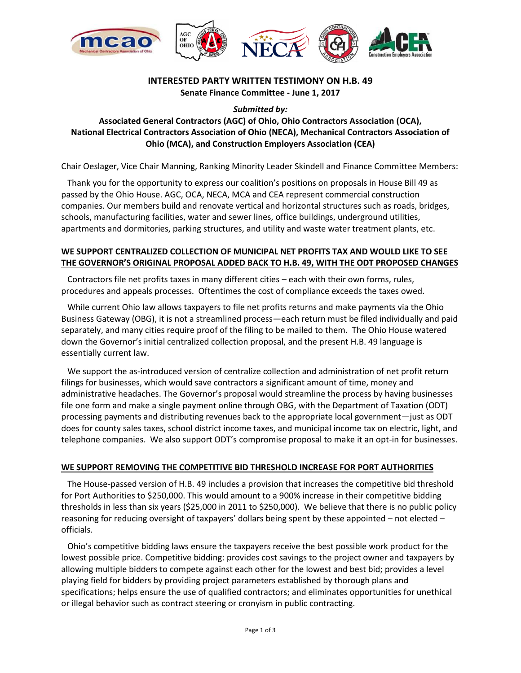

# **INTERESTED PARTY WRITTEN TESTIMONY ON H.B. 49**

**Senate Finance Committee - June 1, 2017**

*Submitted by:*

## **Associated General Contractors (AGC) of Ohio, Ohio Contractors Association (OCA), National Electrical Contractors Association of Ohio (NECA), Mechanical Contractors Association of Ohio (MCA), and Construction Employers Association (CEA)**

Chair Oeslager, Vice Chair Manning, Ranking Minority Leader Skindell and Finance Committee Members:

Thank you for the opportunity to express our coalition's positions on proposals in House Bill 49 as passed by the Ohio House. AGC, OCA, NECA, MCA and CEA represent commercial construction companies. Our members build and renovate vertical and horizontal structures such as roads, bridges, schools, manufacturing facilities, water and sewer lines, office buildings, underground utilities, apartments and dormitories, parking structures, and utility and waste water treatment plants, etc.

#### **WE SUPPORT CENTRALIZED COLLECTION OF MUNICIPAL NET PROFITS TAX AND WOULD LIKE TO SEE THE GOVERNOR'S ORIGINAL PROPOSAL ADDED BACK TO H.B. 49, WITH THE ODT PROPOSED CHANGES**

Contractors file net profits taxes in many different cities – each with their own forms, rules, procedures and appeals processes. Oftentimes the cost of compliance exceeds the taxes owed.

While current Ohio law allows taxpayers to file net profits returns and make payments via the Ohio Business Gateway (OBG), it is not a streamlined process—each return must be filed individually and paid separately, and many cities require proof of the filing to be mailed to them. The Ohio House watered down the Governor's initial centralized collection proposal, and the present H.B. 49 language is essentially current law.

We support the as-introduced version of centralize collection and administration of net profit return filings for businesses, which would save contractors a significant amount of time, money and administrative headaches. The Governor's proposal would streamline the process by having businesses file one form and make a single payment online through OBG, with the Department of Taxation (ODT) processing payments and distributing revenues back to the appropriate local government—just as ODT does for county sales taxes, school district income taxes, and municipal income tax on electric, light, and telephone companies. We also support ODT's compromise proposal to make it an opt-in for businesses.

### **WE SUPPORT REMOVING THE COMPETITIVE BID THRESHOLD INCREASE FOR PORT AUTHORITIES**

The House-passed version of H.B. 49 includes a provision that increases the competitive bid threshold for Port Authorities to \$250,000. This would amount to a 900% increase in their competitive bidding thresholds in less than six years (\$25,000 in 2011 to \$250,000). We believe that there is no public policy reasoning for reducing oversight of taxpayers' dollars being spent by these appointed – not elected – officials.

Ohio's competitive bidding laws ensure the taxpayers receive the best possible work product for the lowest possible price. Competitive bidding: provides cost savings to the project owner and taxpayers by allowing multiple bidders to compete against each other for the lowest and best bid; provides a level playing field for bidders by providing project parameters established by thorough plans and specifications; helps ensure the use of qualified contractors; and eliminates opportunities for unethical or illegal behavior such as contract steering or cronyism in public contracting.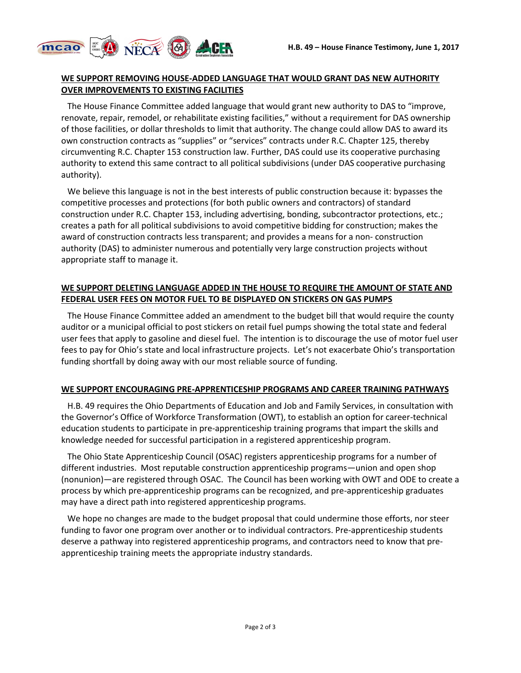

#### **WE SUPPORT REMOVING HOUSE-ADDED LANGUAGE THAT WOULD GRANT DAS NEW AUTHORITY OVER IMPROVEMENTS TO EXISTING FACILITIES**

The House Finance Committee added language that would grant new authority to DAS to "improve, renovate, repair, remodel, or rehabilitate existing facilities," without a requirement for DAS ownership of those facilities, or dollar thresholds to limit that authority. The change could allow DAS to award its own construction contracts as "supplies" or "services" contracts under R.C. Chapter 125, thereby circumventing R.C. Chapter 153 construction law. Further, DAS could use its cooperative purchasing authority to extend this same contract to all political subdivisions (under DAS cooperative purchasing authority).

We believe this language is not in the best interests of public construction because it: bypasses the competitive processes and protections (for both public owners and contractors) of standard construction under R.C. Chapter 153, including advertising, bonding, subcontractor protections, etc.; creates a path for all political subdivisions to avoid competitive bidding for construction; makes the award of construction contracts less transparent; and provides a means for a non- construction authority (DAS) to administer numerous and potentially very large construction projects without appropriate staff to manage it.

#### **WE SUPPORT DELETING LANGUAGE ADDED IN THE HOUSE TO REQUIRE THE AMOUNT OF STATE AND FEDERAL USER FEES ON MOTOR FUEL TO BE DISPLAYED ON STICKERS ON GAS PUMPS**

The House Finance Committee added an amendment to the budget bill that would require the county auditor or a municipal official to post stickers on retail fuel pumps showing the total state and federal user fees that apply to gasoline and diesel fuel. The intention is to discourage the use of motor fuel user fees to pay for Ohio's state and local infrastructure projects. Let's not exacerbate Ohio's transportation funding shortfall by doing away with our most reliable source of funding.

#### **WE SUPPORT ENCOURAGING PRE-APPRENTICESHIP PROGRAMS AND CAREER TRAINING PATHWAYS**

H.B. 49 requires the Ohio Departments of Education and Job and Family Services, in consultation with the Governor's Office of Workforce Transformation (OWT), to establish an option for career-technical education students to participate in pre-apprenticeship training programs that impart the skills and knowledge needed for successful participation in a registered apprenticeship program.

The Ohio State Apprenticeship Council (OSAC) registers apprenticeship programs for a number of different industries. Most reputable construction apprenticeship programs—union and open shop (nonunion)—are registered through OSAC. The Council has been working with OWT and ODE to create a process by which pre-apprenticeship programs can be recognized, and pre-apprenticeship graduates may have a direct path into registered apprenticeship programs.

We hope no changes are made to the budget proposal that could undermine those efforts, nor steer funding to favor one program over another or to individual contractors. Pre-apprenticeship students deserve a pathway into registered apprenticeship programs, and contractors need to know that preapprenticeship training meets the appropriate industry standards.